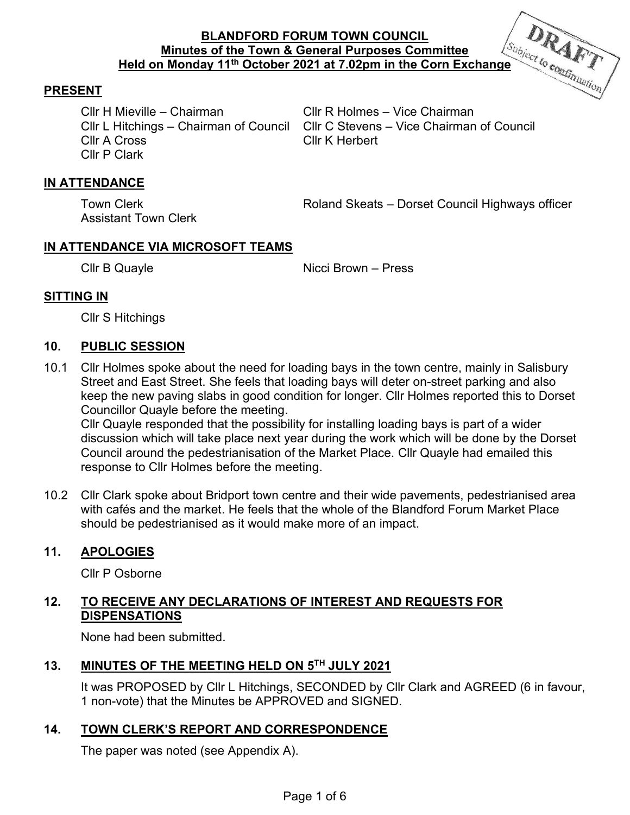

# **PRESENT**

Cllr H Mieville – Chairman Cllr R Holmes – Vice Chairman Cllr A Cross Cllr K Herbert Cllr P Clark

Cllr L Hitchings – Chairman of Council Cllr C Stevens – Vice Chairman of Council

# **IN ATTENDANCE**

Assistant Town Clerk

Town Clerk **Town Cleats Roland Skeats – Dorset Council Highways officer** 

# **IN ATTENDANCE VIA MICROSOFT TEAMS**

Cllr B Quayle **Nicci Brown** – Press

# **SITTING IN**

Cllr S Hitchings

### **10. PUBLIC SESSION**

10.1 Cllr Holmes spoke about the need for loading bays in the town centre, mainly in Salisbury Street and East Street. She feels that loading bays will deter on-street parking and also keep the new paving slabs in good condition for longer. Cllr Holmes reported this to Dorset Councillor Quayle before the meeting.

Cllr Quayle responded that the possibility for installing loading bays is part of a wider discussion which will take place next year during the work which will be done by the Dorset Council around the pedestrianisation of the Market Place. Cllr Quayle had emailed this response to Cllr Holmes before the meeting.

10.2 Cllr Clark spoke about Bridport town centre and their wide pavements, pedestrianised area with cafés and the market. He feels that the whole of the Blandford Forum Market Place should be pedestrianised as it would make more of an impact.

### **11. APOLOGIES**

Cllr P Osborne

# **12. TO RECEIVE ANY DECLARATIONS OF INTEREST AND REQUESTS FOR DISPENSATIONS**

None had been submitted.

# **13. MINUTES OF THE MEETING HELD ON 5TH JULY 2021**

It was PROPOSED by Cllr L Hitchings, SECONDED by Cllr Clark and AGREED (6 in favour, 1 non-vote) that the Minutes be APPROVED and SIGNED.

# **14. TOWN CLERK'S REPORT AND CORRESPONDENCE**

The paper was noted (see Appendix A).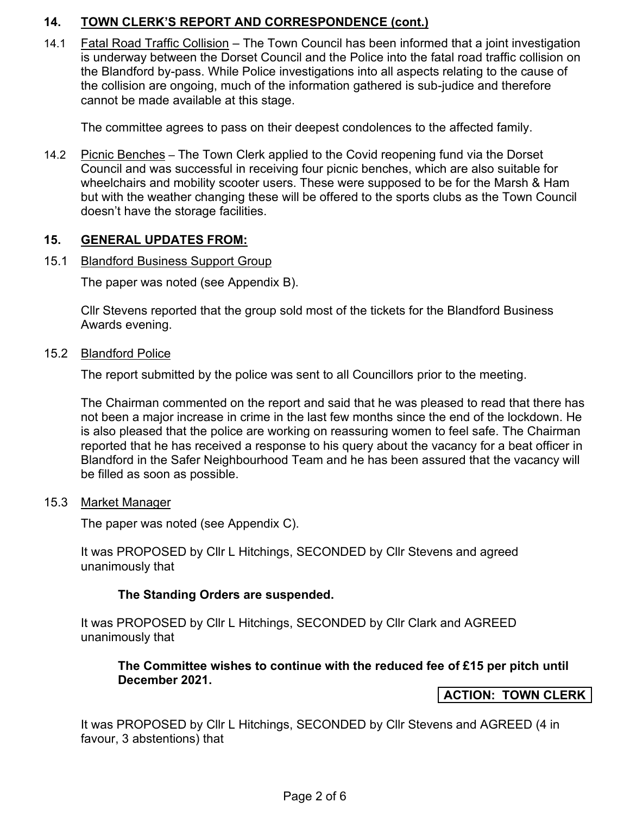# **14. TOWN CLERK'S REPORT AND CORRESPONDENCE (cont.)**

14.1 Fatal Road Traffic Collision – The Town Council has been informed that a joint investigation is underway between the Dorset Council and the Police into the fatal road traffic collision on the Blandford by-pass. While Police investigations into all aspects relating to the cause of the collision are ongoing, much of the information gathered is sub-judice and therefore cannot be made available at this stage.

The committee agrees to pass on their deepest condolences to the affected family.

14.2 Picnic Benches – The Town Clerk applied to the Covid reopening fund via the Dorset Council and was successful in receiving four picnic benches, which are also suitable for wheelchairs and mobility scooter users. These were supposed to be for the Marsh & Ham but with the weather changing these will be offered to the sports clubs as the Town Council doesn't have the storage facilities.

### **15. GENERAL UPDATES FROM:**

### 15.1 Blandford Business Support Group

The paper was noted (see Appendix B).

 Cllr Stevens reported that the group sold most of the tickets for the Blandford Business Awards evening.

### 15.2 Blandford Police

The report submitted by the police was sent to all Councillors prior to the meeting.

 The Chairman commented on the report and said that he was pleased to read that there has not been a major increase in crime in the last few months since the end of the lockdown. He is also pleased that the police are working on reassuring women to feel safe. The Chairman reported that he has received a response to his query about the vacancy for a beat officer in Blandford in the Safer Neighbourhood Team and he has been assured that the vacancy will be filled as soon as possible.

### 15.3 Market Manager

The paper was noted (see Appendix C).

 It was PROPOSED by Cllr L Hitchings, SECONDED by Cllr Stevens and agreed unanimously that

### **The Standing Orders are suspended.**

It was PROPOSED by Cllr L Hitchings, SECONDED by Cllr Clark and AGREED unanimously that

### **The Committee wishes to continue with the reduced fee of £15 per pitch until December 2021.**

### **ACTION: TOWN CLERK**

It was PROPOSED by Cllr L Hitchings, SECONDED by Cllr Stevens and AGREED (4 in favour, 3 abstentions) that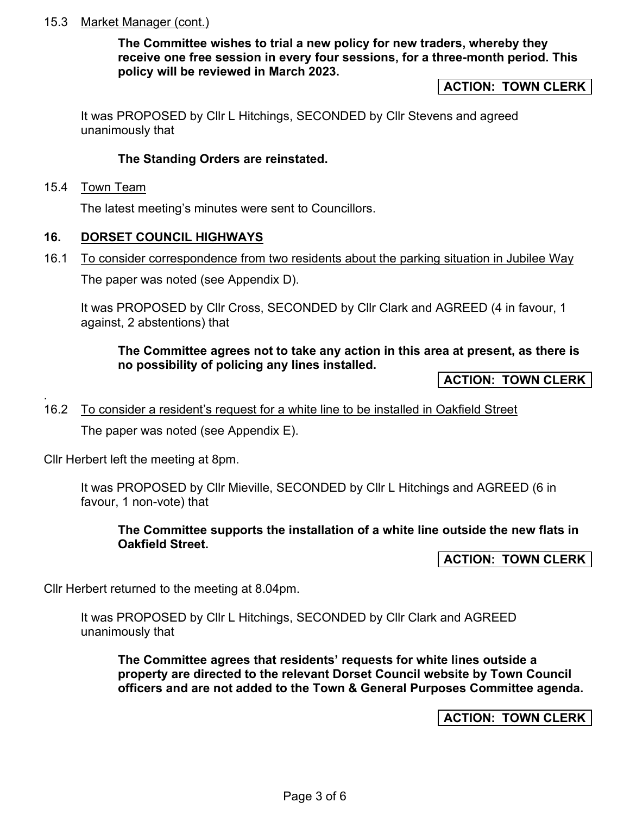### 15.3 Market Manager (cont.)

**The Committee wishes to trial a new policy for new traders, whereby they receive one free session in every four sessions, for a three-month period. This policy will be reviewed in March 2023.** 

#### **ACTION: TOWN CLERK**

 It was PROPOSED by Cllr L Hitchings, SECONDED by Cllr Stevens and agreed unanimously that

#### **The Standing Orders are reinstated.**

15.4 Town Team

.

The latest meeting's minutes were sent to Councillors.

#### **16. DORSET COUNCIL HIGHWAYS**  ľ

16.1 To consider correspondence from two residents about the parking situation in Jubilee Way

The paper was noted (see Appendix D).

It was PROPOSED by Cllr Cross, SECONDED by Cllr Clark and AGREED (4 in favour, 1 against, 2 abstentions) that

### **The Committee agrees not to take any action in this area at present, as there is no possibility of policing any lines installed.**

**ACTION: TOWN CLERK** 

#### 16.2 To consider a resident's request for a white line to be installed in Oakfield Street

The paper was noted (see Appendix E).

Cllr Herbert left the meeting at 8pm.

It was PROPOSED by Cllr Mieville, SECONDED by Cllr L Hitchings and AGREED (6 in favour, 1 non-vote) that

#### **The Committee supports the installation of a white line outside the new flats in Oakfield Street.**

**ACTION: TOWN CLERK** 

Cllr Herbert returned to the meeting at 8.04pm.

It was PROPOSED by Cllr L Hitchings, SECONDED by Cllr Clark and AGREED unanimously that

**The Committee agrees that residents' requests for white lines outside a property are directed to the relevant Dorset Council website by Town Council officers and are not added to the Town & General Purposes Committee agenda.** 

### **ACTION: TOWN CLERK**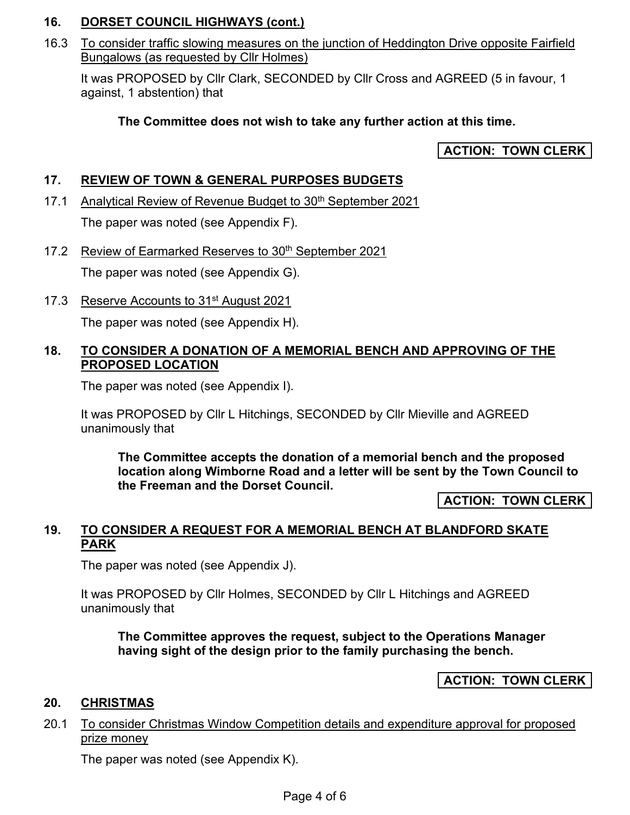# **16. DORSET COUNCIL HIGHWAYS (cont.)**

16.3 To consider traffic slowing measures on the junction of Heddington Drive opposite Fairfield Bungalows (as requested by Cllr Holmes)

It was PROPOSED by Cllr Clark, SECONDED by Cllr Cross and AGREED (5 in favour, 1 against, 1 abstention) that

# **The Committee does not wish to take any further action at this time.**

**ACTION: TOWN CLERK** 

# **17. REVIEW OF TOWN & GENERAL PURPOSES BUDGETS**

- 17.1 Analytical Review of Revenue Budget to 30<sup>th</sup> September 2021 The paper was noted (see Appendix F).
- 17.2 Review of Earmarked Reserves to 30<sup>th</sup> September 2021 The paper was noted (see Appendix G).
- 17.3 Reserve Accounts to 31<sup>st</sup> August 2021

The paper was noted (see Appendix H).

### **18. TO CONSIDER A DONATION OF A MEMORIAL BENCH AND APPROVING OF THE PROPOSED LOCATION**

The paper was noted (see Appendix I).

It was PROPOSED by Cllr L Hitchings, SECONDED by Cllr Mieville and AGREED unanimously that

**The Committee accepts the donation of a memorial bench and the proposed location along Wimborne Road and a letter will be sent by the Town Council to the Freeman and the Dorset Council.**

**ACTION: TOWN CLERK** 

# **19. TO CONSIDER A REQUEST FOR A MEMORIAL BENCH AT BLANDFORD SKATE PARK**

The paper was noted (see Appendix J).

It was PROPOSED by Cllr Holmes, SECONDED by Cllr L Hitchings and AGREED unanimously that

**The Committee approves the request, subject to the Operations Manager having sight of the design prior to the family purchasing the bench.** 

**ACTION: TOWN CLERK** 

### **20. CHRISTMAS**

### 20.1 To consider Christmas Window Competition details and expenditure approval for proposed prize money

The paper was noted (see Appendix K).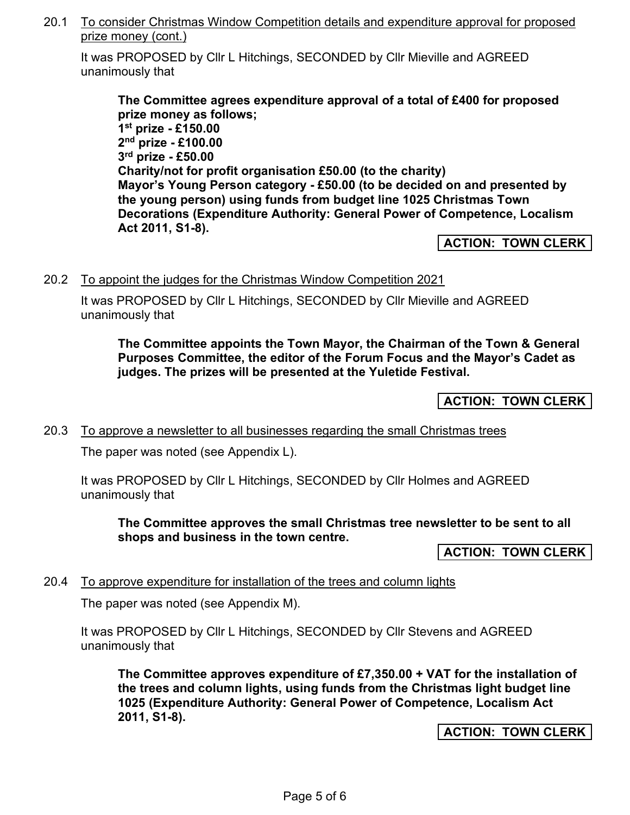20.1 To consider Christmas Window Competition details and expenditure approval for proposed prize money (cont.)

It was PROPOSED by Cllr L Hitchings, SECONDED by Cllr Mieville and AGREED unanimously that

**The Committee agrees expenditure approval of a total of £400 for proposed prize money as follows; 1 st prize - £150.00 2 nd prize - £100.00 3 rd prize - £50.00 Charity/not for profit organisation £50.00 (to the charity) Mayor's Young Person category - £50.00 (to be decided on and presented by the young person) using funds from budget line 1025 Christmas Town Decorations (Expenditure Authority: General Power of Competence, Localism Act 2011, S1-8).** 

**ACTION: TOWN CLERK** 

20.2 To appoint the judges for the Christmas Window Competition 2021

It was PROPOSED by Cllr L Hitchings, SECONDED by Cllr Mieville and AGREED unanimously that

**The Committee appoints the Town Mayor, the Chairman of the Town & General Purposes Committee, the editor of the Forum Focus and the Mayor's Cadet as judges. The prizes will be presented at the Yuletide Festival.** 

**ACTION: TOWN CLERK** 

20.3 To approve a newsletter to all businesses regarding the small Christmas trees

The paper was noted (see Appendix L).

It was PROPOSED by Cllr L Hitchings, SECONDED by Cllr Holmes and AGREED unanimously that

**The Committee approves the small Christmas tree newsletter to be sent to all shops and business in the town centre.**

**ACTION: TOWN CLERK** 

### 20.4 To approve expenditure for installation of the trees and column lights

The paper was noted (see Appendix M).

It was PROPOSED by Cllr L Hitchings, SECONDED by Cllr Stevens and AGREED unanimously that

**The Committee approves expenditure of £7,350.00 + VAT for the installation of the trees and column lights, using funds from the Christmas light budget line 1025 (Expenditure Authority: General Power of Competence, Localism Act 2011, S1-8).**

**ACTION: TOWN CLERK**